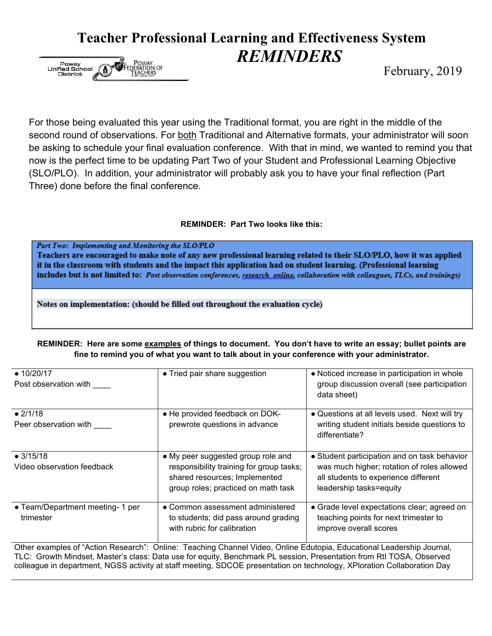## **Teacher Professional Learning and Effectiveness System** *REMINDERS*



February, 2019

For those being evaluated this year using the Traditional format, you are right in the middle of the second round of observations. For both Traditional and Alternative formats, your administrator will soon be asking to schedule your final evaluation conference. With that in mind, we wanted to remind you that now is the perfect time to be updating Part Two of your Student and Professional Learning Objective (SLO/PLO). In addition, your administrator will probably ask you to have your final reflection (Part Three) done before the final conference.

## **REMINDER: Part Two looks like this:**

Part Two: Implementing and Monitoring the SLO/PLO Teachers are encouraged to make note of any new professional learning related to their SLO/PLO, how it was applied it in the classroom with students and the impact this application had on student learning. (Professional learning includes but is not limited to: Post observation conferences, research, online, collaboration with colleagues, TLCs, and trainings)

Notes on implementation: (should be filled out throughout the evaluation cycle)

● 10/20/17 • Tried pair share suggestion  $\vert \cdot \vert$  • Noticed increase in participation in whole group discussion overall (see participation data sheet) ● He provided feedback on DOKprewrote questions in advance ● Questions at all levels used. Next will try writing student initials beside questions to differentiate?

**REMINDER: Here are some examples of things to document. You don't have to write an essay; bullet points are fine to remind you of what you want to talk about in your conference with your administrator.**

| Post observation with                                                                                                                                                                                                                    |                                                                                                                                                        | group discussion overall (see participation<br>data sheet)                                                                                                    |
|------------------------------------------------------------------------------------------------------------------------------------------------------------------------------------------------------------------------------------------|--------------------------------------------------------------------------------------------------------------------------------------------------------|---------------------------------------------------------------------------------------------------------------------------------------------------------------|
| • 2/1/18<br>Peer observation with                                                                                                                                                                                                        | • He provided feedback on DOK-<br>prewrote questions in advance                                                                                        | • Questions at all levels used. Next will try<br>writing student initials beside questions to<br>differentiate?                                               |
| $\bullet$ 3/15/18<br>Video observation feedback                                                                                                                                                                                          | • My peer suggested group role and<br>responsibility training for group tasks;<br>shared resources; Implemented<br>group roles; practiced on math task | • Student participation and on task behavior<br>was much higher; rotation of roles allowed<br>all students to experience different<br>leadership tasks=equity |
| • Team/Department meeting- 1 per<br>trimester                                                                                                                                                                                            | • Common assessment administered<br>to students; did pass around grading<br>with rubric for calibration                                                | • Grade level expectations clear; agreed on<br>teaching points for next trimester to<br>improve overall scores                                                |
| Other examples of "Action Research": Online: Teaching Channel Video, Online Edutopia, Educational Leadership Journal,<br>TLO: Osouth Mindest Mester's close Data use for squit; Densbroad: DL session Dressptation from DH TOOA Observed |                                                                                                                                                        |                                                                                                                                                               |

TLC: Growth Mindset, Master's class: Data use for equity, Benchmark PL session, Presentation from RtI TOSA, Observed colleague in department, NGSS activity at staff meeting, SDCOE presentation on technology, XPloration Collaboration Day